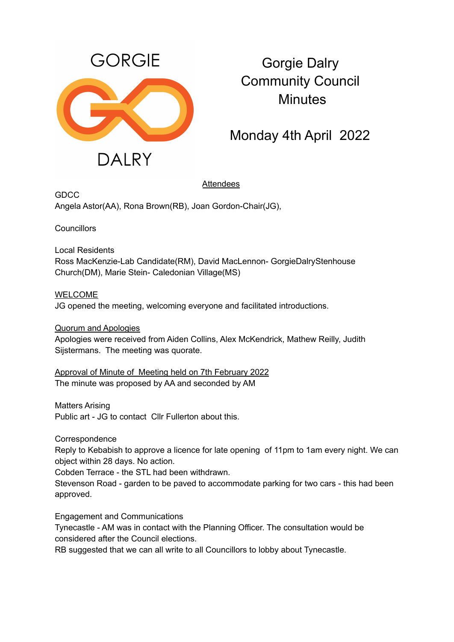

## Gorgie Dalry Community Council **Minutes**

Monday 4th April 2022

## **Attendees**

**GDCC** Angela Astor(AA), Rona Brown(RB), Joan Gordon-Chair(JG),

**Councillors** 

Local Residents Ross MacKenzie-Lab Candidate(RM), David MacLennon- GorgieDalryStenhouse Church(DM), Marie Stein- Caledonian Village(MS)

**WELCOME** JG opened the meeting, welcoming everyone and facilitated introductions.

Quorum and Apologies Apologies were received from Aiden Collins, Alex McKendrick, Mathew Reilly, Judith Sijstermans. The meeting was quorate.

Approval of Minute of Meeting held on 7th February 2022 The minute was proposed by AA and seconded by AM

Matters Arising

Public art - JG to contact Cllr Fullerton about this.

**Correspondence** 

Reply to Kebabish to approve a licence for late opening of 11pm to 1am every night. We can object within 28 days. No action.

Cobden Terrace - the STL had been withdrawn.

Stevenson Road - garden to be paved to accommodate parking for two cars - this had been approved.

Engagement and Communications

Tynecastle - AM was in contact with the Planning Officer. The consultation would be considered after the Council elections.

RB suggested that we can all write to all Councillors to lobby about Tynecastle.